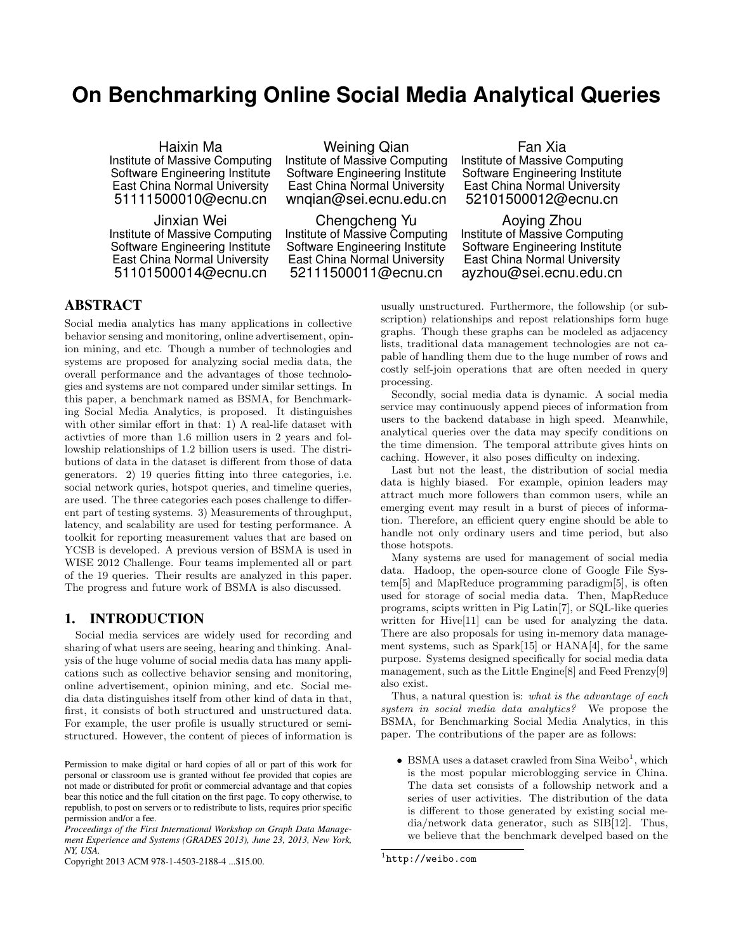# **On Benchmarking Online Social Media Analytical Queries**

Haixin Ma Institute of Massive Computing Software Engineering Institute East China Normal University 51111500010@ecnu.cn

Jinxian Wei Institute of Massive Computing Software Engineering Institute East China Normal University 51101500014@ecnu.cn

Weining Qian Institute of Massive Computing Software Engineering Institute East China Normal University wnqian@sei.ecnu.edu.cn

Chengcheng Yu Institute of Massive Computing Software Engineering Institute East China Normal University 52111500011@ecnu.cn

Fan Xia Institute of Massive Computing Software Engineering Institute East China Normal University 52101500012@ecnu.cn

Aoying Zhou Institute of Massive Computing Software Engineering Institute East China Normal University ayzhou@sei.ecnu.edu.cn

# ABSTRACT

Social media analytics has many applications in collective behavior sensing and monitoring, online advertisement, opinion mining, and etc. Though a number of technologies and systems are proposed for analyzing social media data, the overall performance and the advantages of those technologies and systems are not compared under similar settings. In this paper, a benchmark named as BSMA, for Benchmarking Social Media Analytics, is proposed. It distinguishes with other similar effort in that: 1) A real-life dataset with activties of more than 1.6 million users in 2 years and followship relationships of 1.2 billion users is used. The distributions of data in the dataset is different from those of data generators. 2) 19 queries fitting into three categories, i.e. social network quries, hotspot queries, and timeline queries, are used. The three categories each poses challenge to different part of testing systems. 3) Measurements of throughput, latency, and scalability are used for testing performance. A toolkit for reporting measurement values that are based on YCSB is developed. A previous version of BSMA is used in WISE 2012 Challenge. Four teams implemented all or part of the 19 queries. Their results are analyzed in this paper. The progress and future work of BSMA is also discussed.

# 1. INTRODUCTION

Social media services are widely used for recording and sharing of what users are seeing, hearing and thinking. Analysis of the huge volume of social media data has many applications such as collective behavior sensing and monitoring, online advertisement, opinion mining, and etc. Social media data distinguishes itself from other kind of data in that, first, it consists of both structured and unstructured data. For example, the user profile is usually structured or semistructured. However, the content of pieces of information is

Copyright 2013 ACM 978-1-4503-2188-4 ...\$15.00.

usually unstructured. Furthermore, the followship (or subscription) relationships and repost relationships form huge graphs. Though these graphs can be modeled as adjacency lists, traditional data management technologies are not capable of handling them due to the huge number of rows and costly self-join operations that are often needed in query processing.

Secondly, social media data is dynamic. A social media service may continuously append pieces of information from users to the backend database in high speed. Meanwhile, analytical queries over the data may specify conditions on the time dimension. The temporal attribute gives hints on caching. However, it also poses difficulty on indexing.

Last but not the least, the distribution of social media data is highly biased. For example, opinion leaders may attract much more followers than common users, while an emerging event may result in a burst of pieces of information. Therefore, an efficient query engine should be able to handle not only ordinary users and time period, but also those hotspots.

Many systems are used for management of social media data. Hadoop, the open-source clone of Google File System[5] and MapReduce programming paradigm[5], is often used for storage of social media data. Then, MapReduce programs, scipts written in Pig Latin[7], or SQL-like queries written for Hive[11] can be used for analyzing the data. There are also proposals for using in-memory data management systems, such as Spark[15] or HANA[4], for the same purpose. Systems designed specifically for social media data management, such as the Little Engine[8] and Feed Frenzy[9] also exist.

Thus, a natural question is: what is the advantage of each system in social media data analytics? We propose the BSMA, for Benchmarking Social Media Analytics, in this paper. The contributions of the paper are as follows:

• BSMA uses a dataset crawled from Sina Weibo<sup>1</sup>, which is the most popular microblogging service in China. The data set consists of a followship network and a series of user activities. The distribution of the data is different to those generated by existing social media/network data generator, such as SIB[12]. Thus, we believe that the benchmark develped based on the

Permission to make digital or hard copies of all or part of this work for personal or classroom use is granted without fee provided that copies are not made or distributed for profit or commercial advantage and that copies bear this notice and the full citation on the first page. To copy otherwise, to republish, to post on servers or to redistribute to lists, requires prior specific permission and/or a fee.

*Proceedings of the First International Workshop on Graph Data Management Experience and Systems (GRADES 2013), June 23, 2013, New York, NY, USA.*

 $^1$ http://weibo.com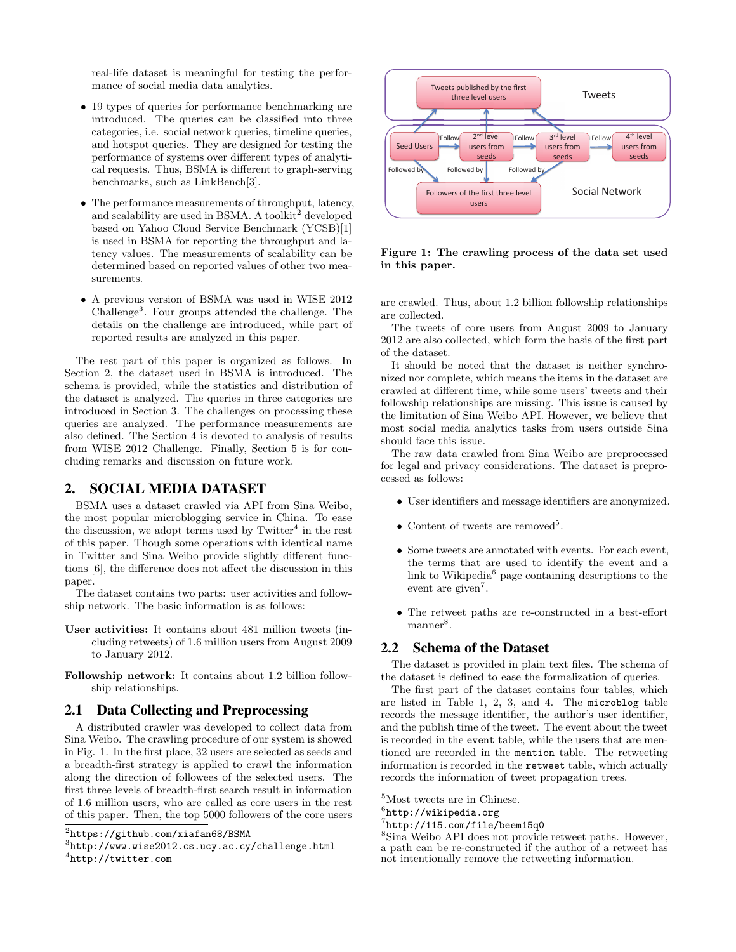real-life dataset is meaningful for testing the performance of social media data analytics.

- 19 types of queries for performance benchmarking are introduced. The queries can be classified into three categories, i.e. social network queries, timeline queries, and hotspot queries. They are designed for testing the performance of systems over different types of analytical requests. Thus, BSMA is different to graph-serving benchmarks, such as LinkBench[3].
- The performance measurements of throughput, latency, and scalability are used in BSMA. A toolkit<sup>2</sup> developed based on Yahoo Cloud Service Benchmark (YCSB)[1] is used in BSMA for reporting the throughput and latency values. The measurements of scalability can be determined based on reported values of other two measurements.
- A previous version of BSMA was used in WISE 2012 Challenge<sup>3</sup>. Four groups attended the challenge. The details on the challenge are introduced, while part of reported results are analyzed in this paper.

The rest part of this paper is organized as follows. In Section 2, the dataset used in BSMA is introduced. The schema is provided, while the statistics and distribution of the dataset is analyzed. The queries in three categories are introduced in Section 3. The challenges on processing these queries are analyzed. The performance measurements are also defined. The Section 4 is devoted to analysis of results from WISE 2012 Challenge. Finally, Section 5 is for concluding remarks and discussion on future work.

# 2. SOCIAL MEDIA DATASET

BSMA uses a dataset crawled via API from Sina Weibo, the most popular microblogging service in China. To ease the discussion, we adopt terms used by  $\text{Twitter}^4$  in the rest of this paper. Though some operations with identical name in Twitter and Sina Weibo provide slightly different functions [6], the difference does not affect the discussion in this paper.

The dataset contains two parts: user activities and followship network. The basic information is as follows:

- User activities: It contains about 481 million tweets (including retweets) of 1.6 million users from August 2009 to January 2012.
- Followship network: It contains about 1.2 billion followship relationships.

#### 2.1 Data Collecting and Preprocessing

A distributed crawler was developed to collect data from Sina Weibo. The crawling procedure of our system is showed in Fig. 1. In the first place, 32 users are selected as seeds and a breadth-first strategy is applied to crawl the information along the direction of followees of the selected users. The first three levels of breadth-first search result in information of 1.6 million users, who are called as core users in the rest of this paper. Then, the top 5000 followers of the core users



#### Figure 1: The crawling process of the data set used in this paper.

are crawled. Thus, about 1.2 billion followship relationships are collected.

The tweets of core users from August 2009 to January 2012 are also collected, which form the basis of the first part of the dataset.

It should be noted that the dataset is neither synchronized nor complete, which means the items in the dataset are crawled at different time, while some users' tweets and their followship relationships are missing. This issue is caused by the limitation of Sina Weibo API. However, we believe that most social media analytics tasks from users outside Sina should face this issue.

The raw data crawled from Sina Weibo are preprocessed for legal and privacy considerations. The dataset is preprocessed as follows:

- User identifiers and message identifiers are anonymized.
- Content of tweets are removed<sup>5</sup>.
- Some tweets are annotated with events. For each event, the terms that are used to identify the event and a link to Wikipedia $^6$  page containing descriptions to the event are given<sup>7</sup>.
- The retweet paths are re-constructed in a best-effort manner<sup>8</sup>.

# 2.2 Schema of the Dataset

The dataset is provided in plain text files. The schema of the dataset is defined to ease the formalization of queries.

The first part of the dataset contains four tables, which are listed in Table 1, 2, 3, and 4. The microblog table records the message identifier, the author's user identifier, and the publish time of the tweet. The event about the tweet is recorded in the event table, while the users that are mentioned are recorded in the mention table. The retweeting information is recorded in the retweet table, which actually records the information of tweet propagation trees.

 $^{2}$ https://github.com/xiafan68/BSMA

<sup>3</sup> http://www.wise2012.cs.ucy.ac.cy/challenge.html

<sup>4</sup> http://twitter.com

 $^5 \rm{Most}$  tweets are in Chinese.

 $^6$ http://wikipedia.org

<sup>7</sup> http://115.com/file/beem15q0

<sup>8</sup>Sina Weibo API does not provide retweet paths. However, a path can be re-constructed if the author of a retweet has not intentionally remove the retweeting information.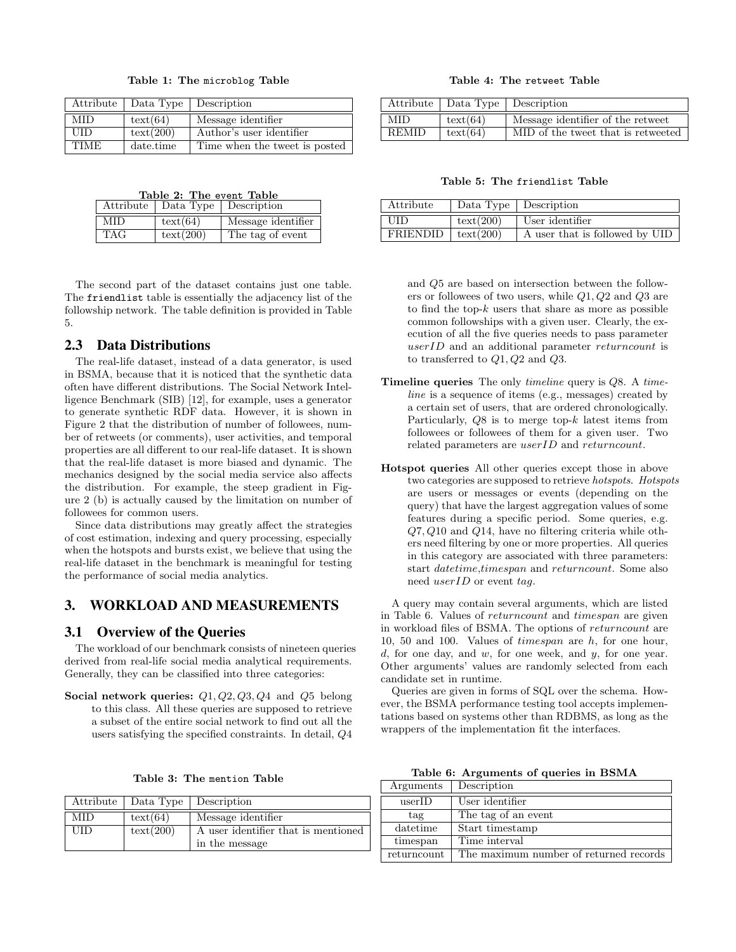Table 1: The microblog Table

|             | Attribute   Data Type   Description |                               |
|-------------|-------------------------------------|-------------------------------|
| MID         | text(64)                            | Message identifier            |
| UID         | text(200)                           | Author's user identifier      |
| <b>TIME</b> | date.time                           | Time when the tweet is posted |

Table 2: The event Table

|            | Attribute   Data Type   Description |                    |
|------------|-------------------------------------|--------------------|
| <b>MID</b> | text(64)                            | Message identifier |
| <b>TAG</b> | text(200)                           | The tag of event   |

The second part of the dataset contains just one table. The friendlist table is essentially the adjacency list of the followship network. The table definition is provided in Table 5.

# 2.3 Data Distributions

The real-life dataset, instead of a data generator, is used in BSMA, because that it is noticed that the synthetic data often have different distributions. The Social Network Intelligence Benchmark (SIB) [12], for example, uses a generator to generate synthetic RDF data. However, it is shown in Figure 2 that the distribution of number of followees, number of retweets (or comments), user activities, and temporal properties are all different to our real-life dataset. It is shown that the real-life dataset is more biased and dynamic. The mechanics designed by the social media service also affects the distribution. For example, the steep gradient in Figure 2 (b) is actually caused by the limitation on number of followees for common users.

Since data distributions may greatly affect the strategies of cost estimation, indexing and query processing, especially when the hotspots and bursts exist, we believe that using the real-life dataset in the benchmark is meaningful for testing the performance of social media analytics.

# 3. WORKLOAD AND MEASUREMENTS

#### 3.1 Overview of the Queries

The workload of our benchmark consists of nineteen queries derived from real-life social media analytical requirements. Generally, they can be classified into three categories:

Social network queries:  $Q_1, Q_2, Q_3, Q_4$  and  $Q_5$  belong to this class. All these queries are supposed to retrieve a subset of the entire social network to find out all the users satisfying the specified constraints. In detail, Q4

Table 4: The retweet Table

|         | Attribute   Data Type   Description |                                    |
|---------|-------------------------------------|------------------------------------|
| - MID - | text(64)                            | Message identifier of the retweet  |
| REMID   | text(64)                            | MID of the tweet that is retweeted |

Table 5: The friendlist Table

| Attribute              | Data Type Description |                                |
|------------------------|-----------------------|--------------------------------|
| UID                    | text(200)             | User identifier                |
| FRIENDID   $text(200)$ |                       | A user that is followed by UID |

and Q5 are based on intersection between the followers or followees of two users, while Q1, Q2 and Q3 are to find the top- $k$  users that share as more as possible common followships with a given user. Clearly, the execution of all the five queries needs to pass parameter userID and an additional parameter returncount is to transferred to Q1, Q2 and Q3.

- Timeline queries The only *timeline* query is Q8. A timeline is a sequence of items (e.g., messages) created by a certain set of users, that are ordered chronologically. Particularly,  $Q8$  is to merge top- $k$  latest items from followees or followees of them for a given user. Two related parameters are userID and returncount.
- Hotspot queries All other queries except those in above two categories are supposed to retrieve hotspots. Hotspots are users or messages or events (depending on the query) that have the largest aggregation values of some features during a specific period. Some queries, e.g. Q7, Q10 and Q14, have no filtering criteria while others need filtering by one or more properties. All queries in this category are associated with three parameters: start datetime,timespan and returncount. Some also need *userID* or event *tag*.

A query may contain several arguments, which are listed in Table 6. Values of returncount and timespan are given in workload files of BSMA. The options of returncount are 10, 50 and 100. Values of timespan are h, for one hour, d, for one day, and  $w$ , for one week, and  $y$ , for one year. Other arguments' values are randomly selected from each candidate set in runtime.

Queries are given in forms of SQL over the schema. However, the BSMA performance testing tool accepts implementations based on systems other than RDBMS, as long as the wrappers of the implementation fit the interfaces.

| Table 3: The mention Table |
|----------------------------|
|----------------------------|

|     | Attribute   Data Type   Description |                                     |
|-----|-------------------------------------|-------------------------------------|
| MID | text(64)                            | Message identifier                  |
| UID | text(200)                           | A user identifier that is mentioned |
|     |                                     | in the message                      |

Table 6: Arguments of queries in BSMA

| Arguments   | Description                            |
|-------------|----------------------------------------|
| userID      | User identifier                        |
| tag         | The tag of an event                    |
| datetime    | Start timestamp                        |
| timespan    | Time interval                          |
| returncount | The maximum number of returned records |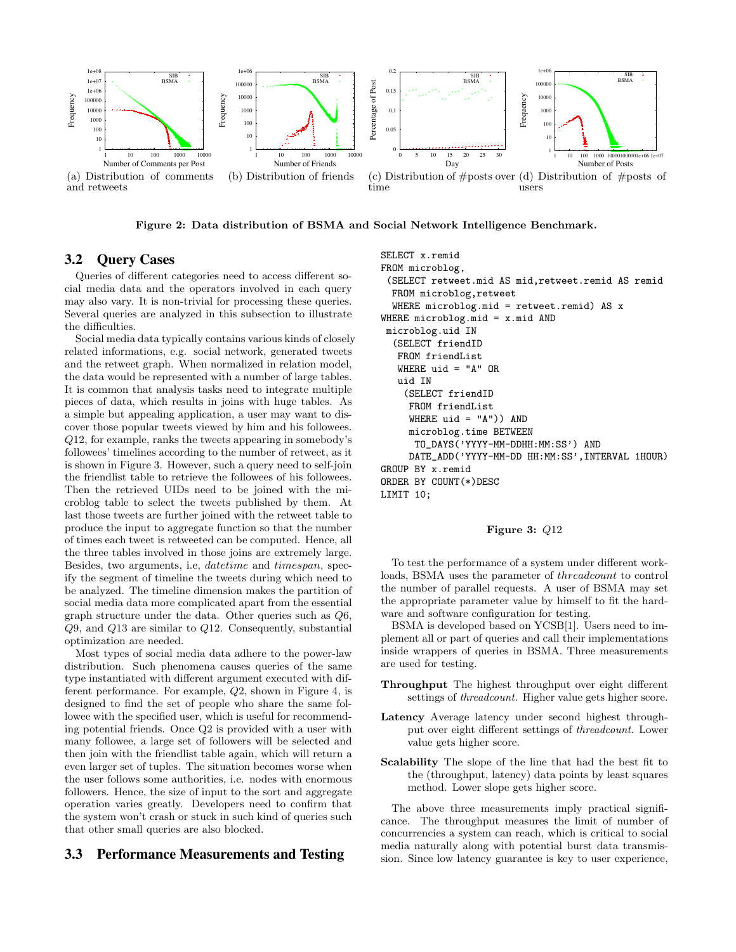

Figure 2: Data distribution of BSMA and Social Network Intelligence Benchmark.

#### 3.2 Query Cases

Queries of different categories need to access different social media data and the operators involved in each query may also vary. It is non-trivial for processing these queries. Several queries are analyzed in this subsection to illustrate the difficulties.

Social media data typically contains various kinds of closely related informations, e.g. social network, generated tweets and the retweet graph. When normalized in relation model, the data would be represented with a number of large tables. It is common that analysis tasks need to integrate multiple pieces of data, which results in joins with huge tables. As a simple but appealing application, a user may want to discover those popular tweets viewed by him and his followees. Q12, for example, ranks the tweets appearing in somebody's followees' timelines according to the number of retweet, as it is shown in Figure 3. However, such a query need to self-join the friendlist table to retrieve the followees of his followees. Then the retrieved UIDs need to be joined with the microblog table to select the tweets published by them. At last those tweets are further joined with the retweet table to produce the input to aggregate function so that the number of times each tweet is retweeted can be computed. Hence, all the three tables involved in those joins are extremely large. Besides, two arguments, i.e, datetime and timespan, specify the segment of timeline the tweets during which need to be analyzed. The timeline dimension makes the partition of social media data more complicated apart from the essential graph structure under the data. Other queries such as Q6, Q9, and Q13 are similar to Q12. Consequently, substantial optimization are needed.

Most types of social media data adhere to the power-law distribution. Such phenomena causes queries of the same type instantiated with different argument executed with different performance. For example, Q2, shown in Figure 4, is designed to find the set of people who share the same followee with the specified user, which is useful for recommending potential friends. Once Q2 is provided with a user with many followee, a large set of followers will be selected and then join with the friendlist table again, which will return a even larger set of tuples. The situation becomes worse when the user follows some authorities, i.e. nodes with enormous followers. Hence, the size of input to the sort and aggregate operation varies greatly. Developers need to confirm that the system won't crash or stuck in such kind of queries such that other small queries are also blocked.

# 3.3 Performance Measurements and Testing

```
SELECT x.remid
FROM microblog,
 (SELECT retweet.mid AS mid,retweet.remid AS remid
  FROM microblog,retweet
  WHERE microblog.mid = retweet.remid) AS x
WHERE microblog.mid = x.mid AND
microblog.uid IN
  (SELECT friendID
   FROM friendList
   WHERE uid = "A" ORuid IN
    (SELECT friendID
     FROM friendList
     WHERE uid = "A")) AND
     microblog.time BETWEEN
      TO_DAYS('YYYY-MM-DDHH:MM:SS') AND
     DATE_ADD('YYYY-MM-DD HH:MM:SS',INTERVAL 1HOUR)
GROUP BY x.remid
ORDER BY COUNT(*)DESC
LIMIT 10;
```
#### Figure 3: Q12

To test the performance of a system under different workloads, BSMA uses the parameter of threadcount to control the number of parallel requests. A user of BSMA may set the appropriate parameter value by himself to fit the hardware and software configuration for testing.

BSMA is developed based on YCSB[1]. Users need to implement all or part of queries and call their implementations inside wrappers of queries in BSMA. Three measurements are used for testing.

- Throughput The highest throughput over eight different settings of *threadcount*. Higher value gets higher score.
- Latency Average latency under second highest throughput over eight different settings of threadcount. Lower value gets higher score.
- Scalability The slope of the line that had the best fit to the (throughput, latency) data points by least squares method. Lower slope gets higher score.

The above three measurements imply practical significance. The throughput measures the limit of number of concurrencies a system can reach, which is critical to social media naturally along with potential burst data transmission. Since low latency guarantee is key to user experience,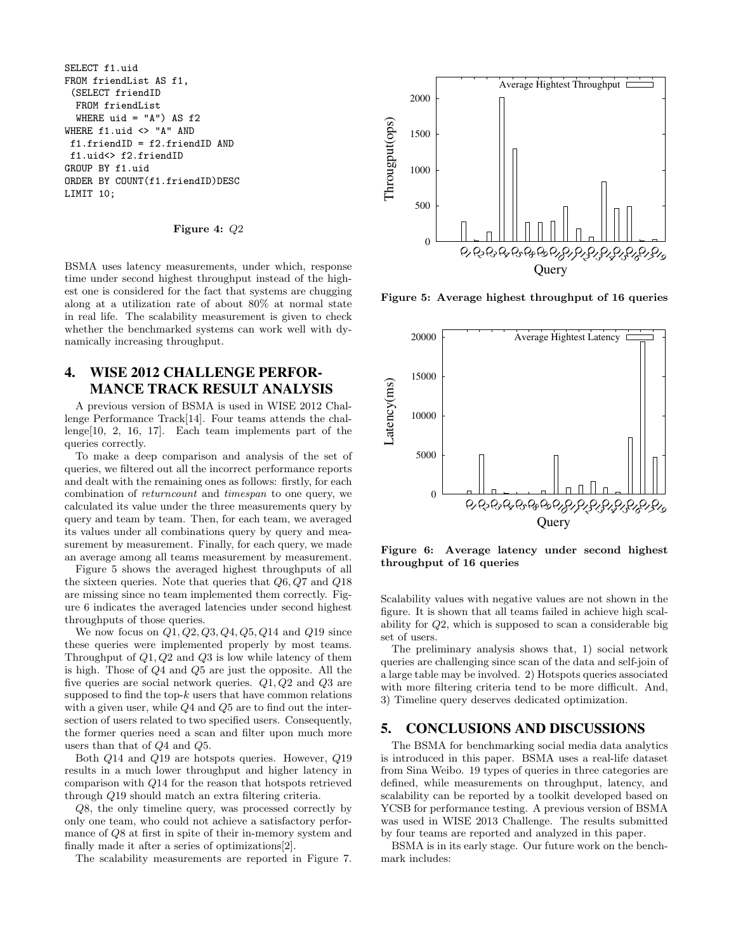SELECT f1.uid FROM friendList AS f1, (SELECT friendID FROM friendList WHERE  $uid = "A") AS f2$ WHERE f1.uid <> "A" AND f1.friendID = f2.friendID AND f1.uid<> f2.friendID GROUP BY f1.uid ORDER BY COUNT(f1.friendID)DESC LIMIT 10;

#### Figure 4: Q2

BSMA uses latency measurements, under which, response time under second highest throughput instead of the highest one is considered for the fact that systems are chugging along at a utilization rate of about 80% at normal state in real life. The scalability measurement is given to check whether the benchmarked systems can work well with dynamically increasing throughput.

# 4. WISE 2012 CHALLENGE PERFOR-MANCE TRACK RESULT ANALYSIS

A previous version of BSMA is used in WISE 2012 Challenge Performance Track[14]. Four teams attends the challenge[10, 2, 16, 17]. Each team implements part of the queries correctly.

To make a deep comparison and analysis of the set of queries, we filtered out all the incorrect performance reports and dealt with the remaining ones as follows: firstly, for each combination of returncount and timespan to one query, we calculated its value under the three measurements query by query and team by team. Then, for each team, we averaged its values under all combinations query by query and measurement by measurement. Finally, for each query, we made an average among all teams measurement by measurement.

Figure 5 shows the averaged highest throughputs of all the sixteen queries. Note that queries that Q6, Q7 and Q18 are missing since no team implemented them correctly. Figure 6 indicates the averaged latencies under second highest throughputs of those queries.

We now focus on  $Q_1, Q_2, Q_3, Q_4, Q_5, Q_14$  and  $Q_19$  since these queries were implemented properly by most teams. Throughput of Q1, Q2 and Q3 is low while latency of them is high. Those of Q4 and Q5 are just the opposite. All the five queries are social network queries. Q1, Q2 and Q3 are supposed to find the top- $k$  users that have common relations with a given user, while  $Q_4$  and  $Q_5$  are to find out the intersection of users related to two specified users. Consequently, the former queries need a scan and filter upon much more users than that of Q4 and Q5.

Both Q14 and Q19 are hotspots queries. However, Q19 results in a much lower throughput and higher latency in comparison with Q14 for the reason that hotspots retrieved through Q19 should match an extra filtering criteria.

Q8, the only timeline query, was processed correctly by only one team, who could not achieve a satisfactory performance of Q8 at first in spite of their in-memory system and finally made it after a series of optimizations[2].

The scalability measurements are reported in Figure 7.



Figure 5: Average highest throughput of 16 queries



Figure 6: Average latency under second highest throughput of 16 queries

Scalability values with negative values are not shown in the figure. It is shown that all teams failed in achieve high scalability for Q2, which is supposed to scan a considerable big set of users.

The preliminary analysis shows that, 1) social network queries are challenging since scan of the data and self-join of a large table may be involved. 2) Hotspots queries associated with more filtering criteria tend to be more difficult. And, 3) Timeline query deserves dedicated optimization.

### 5. CONCLUSIONS AND DISCUSSIONS

The BSMA for benchmarking social media data analytics is introduced in this paper. BSMA uses a real-life dataset from Sina Weibo. 19 types of queries in three categories are defined, while measurements on throughput, latency, and scalability can be reported by a toolkit developed based on YCSB for performance testing. A previous version of BSMA was used in WISE 2013 Challenge. The results submitted by four teams are reported and analyzed in this paper.

BSMA is in its early stage. Our future work on the benchmark includes: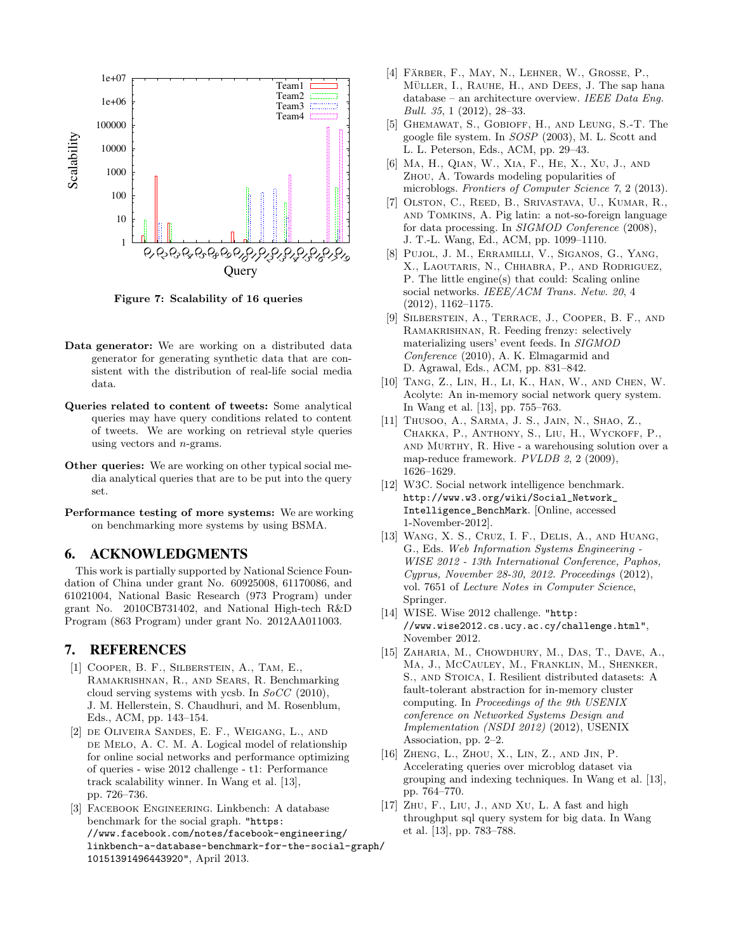

Figure 7: Scalability of 16 queries

- Data generator: We are working on a distributed data generator for generating synthetic data that are consistent with the distribution of real-life social media data.
- Queries related to content of tweets: Some analytical queries may have query conditions related to content of tweets. We are working on retrieval style queries using vectors and  $n$ -grams.
- **Other queries:** We are working on other typical social media analytical queries that are to be put into the query set.
- Performance testing of more systems: We are working on benchmarking more systems by using BSMA.

# 6. ACKNOWLEDGMENTS

This work is partially supported by National Science Foundation of China under grant No. 60925008, 61170086, and 61021004, National Basic Research (973 Program) under grant No. 2010CB731402, and National High-tech R&D Program (863 Program) under grant No. 2012AA011003.

# 7. REFERENCES

- [1] Cooper, B. F., Silberstein, A., Tam, E., Ramakrishnan, R., and Sears, R. Benchmarking cloud serving systems with ycsb. In  $SoCC$  (2010), J. M. Hellerstein, S. Chaudhuri, and M. Rosenblum, Eds., ACM, pp. 143–154.
- [2] de Oliveira Sandes, E. F., Weigang, L., and DE MELO, A. C. M. A. Logical model of relationship for online social networks and performance optimizing of queries - wise 2012 challenge - t1: Performance track scalability winner. In Wang et al. [13], pp. 726–736.
- [3] FACEBOOK ENGINEERING. Linkbench: A database benchmark for the social graph. "https: //www.facebook.com/notes/facebook-engineering/ linkbench-a-database-benchmark-for-the-social-graph/ 10151391496443920", April 2013.
- [4] FÄRBER, F., MAY, N., LEHNER, W., GROSSE, P., MÜLLER, I., RAUHE, H., AND DEES, J. The sap hana database – an architecture overview. IEEE Data Eng. Bull. 35, 1 (2012), 28–33.
- [5] Ghemawat, S., Gobioff, H., and Leung, S.-T. The google file system. In SOSP (2003), M. L. Scott and L. L. Peterson, Eds., ACM, pp. 29–43.
- [6] Ma, H., Qian, W., Xia, F., He, X., Xu, J., and Zhou, A. Towards modeling popularities of microblogs. Frontiers of Computer Science 7, 2 (2013).
- [7] Olston, C., Reed, B., Srivastava, U., Kumar, R., and Tomkins, A. Pig latin: a not-so-foreign language for data processing. In SIGMOD Conference (2008), J. T.-L. Wang, Ed., ACM, pp. 1099–1110.
- [8] Pujol, J. M., Erramilli, V., Siganos, G., Yang, X., Laoutaris, N., Chhabra, P., and Rodriguez, P. The little engine(s) that could: Scaling online social networks. IEEE/ACM Trans. Netw. 20, 4 (2012), 1162–1175.
- [9] Silberstein, A., Terrace, J., Cooper, B. F., and Ramakrishnan, R. Feeding frenzy: selectively materializing users' event feeds. In SIGMOD Conference (2010), A. K. Elmagarmid and D. Agrawal, Eds., ACM, pp. 831–842.
- [10] Tang, Z., Lin, H., Li, K., Han, W., and Chen, W. Acolyte: An in-memory social network query system. In Wang et al. [13], pp. 755–763.
- [11] Thusoo, A., Sarma, J. S., Jain, N., Shao, Z., Chakka, P., Anthony, S., Liu, H., Wyckoff, P., and Murthy, R. Hive - a warehousing solution over a map-reduce framework. PVLDB 2, 2 (2009), 1626–1629.
- [12] W3C. Social network intelligence benchmark. http://www.w3.org/wiki/Social\_Network\_ Intelligence\_BenchMark. [Online, accessed 1-November-2012].
- [13] Wang, X. S., Cruz, I. F., Delis, A., and Huang, G., Eds. Web Information Systems Engineering - WISE 2012 - 13th International Conference, Paphos, Cyprus, November 28-30, 2012. Proceedings (2012), vol. 7651 of Lecture Notes in Computer Science, Springer.
- [14] WISE. Wise 2012 challenge. "http: //www.wise2012.cs.ucy.ac.cy/challenge.html", November 2012.
- [15] ZAHARIA, M., CHOWDHURY, M., DAS, T., DAVE, A., Ma, J., McCauley, M., Franklin, M., Shenker, S., and Stoica, I. Resilient distributed datasets: A fault-tolerant abstraction for in-memory cluster computing. In Proceedings of the 9th USENIX conference on Networked Systems Design and Implementation (NSDI 2012) (2012), USENIX Association, pp. 2–2.
- [16] Zheng, L., Zhou, X., Lin, Z., and Jin, P. Accelerating queries over microblog dataset via grouping and indexing techniques. In Wang et al. [13], pp. 764–770.
- [17] Zhu, F., Liu, J., and Xu, L. A fast and high throughput sql query system for big data. In Wang et al. [13], pp. 783–788.